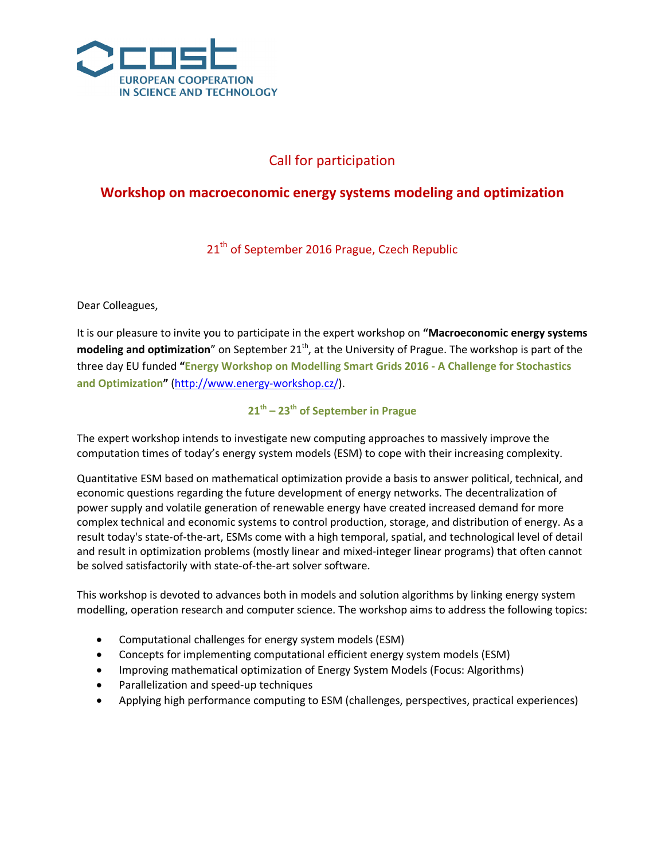

# Call for participation

## **Workshop on macroeconomic energy systems modeling and optimization**

21<sup>th</sup> of September 2016 Prague, Czech Republic

Dear Colleagues,

It is our pleasure to invite you to participate in the expert workshop on **"Macroeconomic energy systems**  modeling and optimization" on September 21<sup>th</sup>, at the University of Prague. The workshop is part of the three day EU funded **"Energy Workshop on Modelling Smart Grids 2016 - A Challenge for Stochastics and Optimization"** [\(http://www.energy-workshop.cz/\)](http://www.energy-workshop.cz/).

**21th – 23th of September in Prague**

The expert workshop intends to investigate new computing approaches to massively improve the computation times of today's energy system models (ESM) to cope with their increasing complexity.

Quantitative ESM based on mathematical optimization provide a basis to answer political, technical, and economic questions regarding the future development of energy networks. The decentralization of power supply and volatile generation of renewable energy have created increased demand for more complex technical and economic systems to control production, storage, and distribution of energy. As a result today's state-of-the-art, ESMs come with a high temporal, spatial, and technological level of detail and result in optimization problems (mostly linear and mixed-integer linear programs) that often cannot be solved satisfactorily with state-of-the-art solver software.

This workshop is devoted to advances both in models and solution algorithms by linking energy system modelling, operation research and computer science. The workshop aims to address the following topics:

- Computational challenges for energy system models (ESM)
- Concepts for implementing computational efficient energy system models (ESM)
- Improving mathematical optimization of Energy System Models (Focus: Algorithms)
- Parallelization and speed-up techniques
- Applying high performance computing to ESM (challenges, perspectives, practical experiences)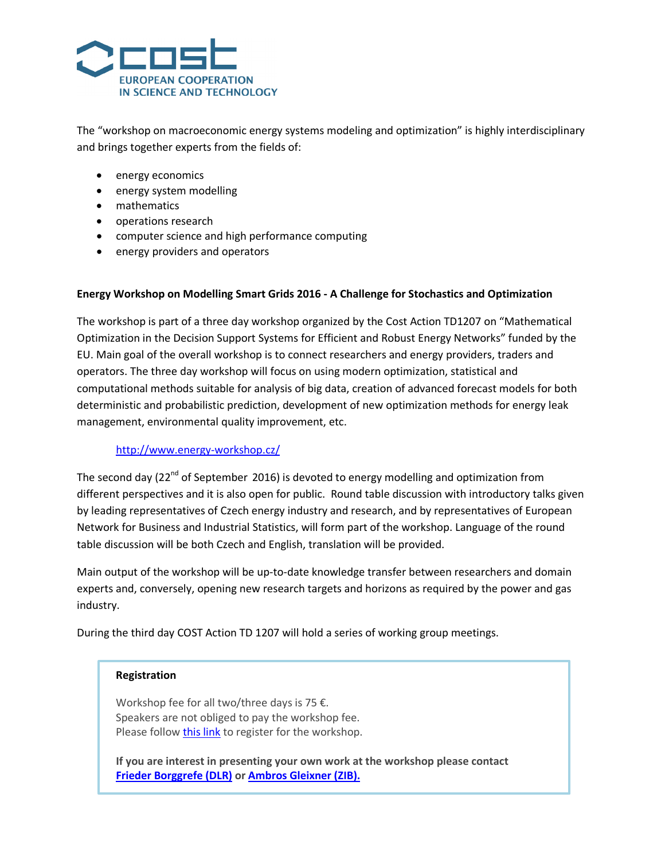

The "workshop on macroeconomic energy systems modeling and optimization" is highly interdisciplinary and brings together experts from the fields of:

- energy economics
- energy system modelling
- mathematics
- operations research
- computer science and high performance computing
- energy providers and operators

### **Energy Workshop on Modelling Smart Grids 2016 - A Challenge for Stochastics and Optimization**

The workshop is part of a three day workshop organized by the Cost Action TD1207 on "Mathematical Optimization in the Decision Support Systems for Efficient and Robust Energy Networks" funded by the EU. Main goal of the overall workshop is to connect researchers and energy providers, traders and operators. The three day workshop will focus on using modern optimization, statistical and computational methods suitable for analysis of big data, creation of advanced forecast models for both deterministic and probabilistic prediction, development of new optimization methods for energy leak management, environmental quality improvement, etc.

### <http://www.energy-workshop.cz/>

The second day ( $22^{nd}$  of September 2016) is devoted to energy modelling and optimization from different perspectives and it is also open for public. Round table discussion with introductory talks given by leading representatives of Czech energy industry and research, and by representatives of European Network for Business and Industrial Statistics, will form part of the workshop. Language of the round table discussion will be both Czech and English, translation will be provided.

Main output of the workshop will be up-to-date knowledge transfer between researchers and domain experts and, conversely, opening new research targets and horizons as required by the power and gas industry.

During the third day COST Action TD 1207 will hold a series of working group meetings.

### **Registration**

Workshop fee for all two/three days is 75 €. Speakers are not obliged to pay the workshop fee. Please follow [this link](http://goo.gl/forms/bG6HI5aXyYgytP0G3) to register for the workshop.

**If you are interest in presenting your own work at the workshop please contact [Frieder Borggrefe \(DLR\)](mailto:frieder.borggrefe@dlr.de?subject=%5BPrague%202016%5D%20Workshop%20on%20macroeconomic%20energy%20systems%20modeling%20and%20optimization) o[r Ambros Gleixner](mailto:gleixner@zib.de?subject=%5BPrague%202016%5D%20Workshop%20on%20macroeconomic%20energy%20systems%20modeling%20and%20optimization) (ZIB).**